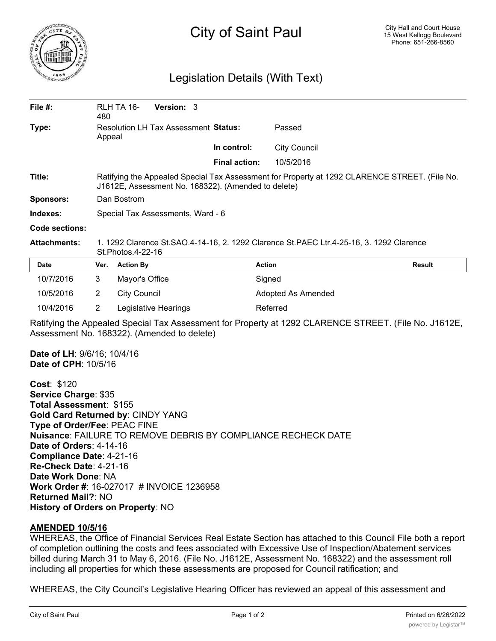

## City of Saint Paul

## Legislation Details (With Text)

| File $#$ :          | 480                                                                                                                                                  | RLH TA 16-          | <b>Version: 3</b>    |  |                      |                     |               |
|---------------------|------------------------------------------------------------------------------------------------------------------------------------------------------|---------------------|----------------------|--|----------------------|---------------------|---------------|
| Type:               | Resolution LH Tax Assessment Status:<br>Appeal                                                                                                       |                     |                      |  |                      | Passed              |               |
|                     |                                                                                                                                                      |                     |                      |  | In control:          | <b>City Council</b> |               |
|                     |                                                                                                                                                      |                     |                      |  | <b>Final action:</b> | 10/5/2016           |               |
| Title:              | Ratifying the Appealed Special Tax Assessment for Property at 1292 CLARENCE STREET. (File No.<br>J1612E, Assessment No. 168322). (Amended to delete) |                     |                      |  |                      |                     |               |
| <b>Sponsors:</b>    | Dan Bostrom                                                                                                                                          |                     |                      |  |                      |                     |               |
| Indexes:            | Special Tax Assessments, Ward - 6                                                                                                                    |                     |                      |  |                      |                     |               |
| Code sections:      |                                                                                                                                                      |                     |                      |  |                      |                     |               |
| <b>Attachments:</b> | 1. 1292 Clarence St.SAO.4-14-16, 2. 1292 Clarence St.PAEC Ltr.4-25-16, 3. 1292 Clarence<br>St.Photos.4-22-16                                         |                     |                      |  |                      |                     |               |
| Date                | Ver.                                                                                                                                                 | <b>Action By</b>    |                      |  |                      | <b>Action</b>       | <b>Result</b> |
| 10/7/2016           | 3                                                                                                                                                    | Mayor's Office      |                      |  |                      | Signed              |               |
| 10/5/2016           | $\overline{2}$                                                                                                                                       | <b>City Council</b> |                      |  |                      | Adopted As Amended  |               |
| 10/4/2016           | 2                                                                                                                                                    |                     | Legislative Hearings |  |                      | Referred            |               |

Ratifying the Appealed Special Tax Assessment for Property at 1292 CLARENCE STREET. (File No. J1612E, Assessment No. 168322). (Amended to delete)

**Date of LH**: 9/6/16; 10/4/16 **Date of CPH**: 10/5/16

**Cost**: \$120 **Service Charge**: \$35 **Total Assessment**: \$155 **Gold Card Returned by**: CINDY YANG **Type of Order/Fee**: PEAC FINE **Nuisance**: FAILURE TO REMOVE DEBRIS BY COMPLIANCE RECHECK DATE **Date of Orders**: 4-14-16 **Compliance Date**: 4-21-16 **Re-Check Date**: 4-21-16 **Date Work Done**: NA **Work Order #**: 16-027017 # INVOICE 1236958 **Returned Mail?**: NO **History of Orders on Property**: NO

## **AMENDED 10/5/16**

WHEREAS, the Office of Financial Services Real Estate Section has attached to this Council File both a report of completion outlining the costs and fees associated with Excessive Use of Inspection/Abatement services billed during March 31 to May 6, 2016. (File No. J1612E, Assessment No. 168322) and the assessment roll including all properties for which these assessments are proposed for Council ratification; and

WHEREAS, the City Council's Legislative Hearing Officer has reviewed an appeal of this assessment and